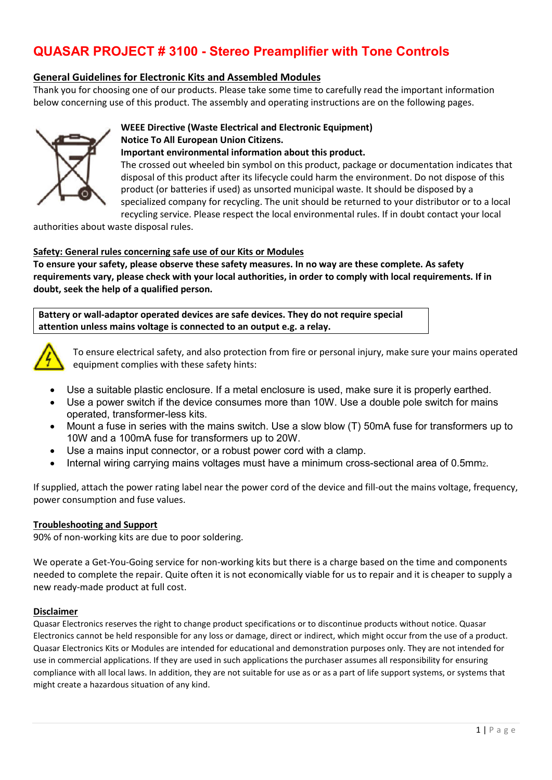## **General Guidelines for Electronic Kits and Assembled Modules**

Thank you for choosing one of our products. Please take some time to carefully read the important information below concerning use of this product. The assembly and operating instructions are on the following pages.



## **WEEE Directive (Waste Electrical and Electronic Equipment)**

#### **Notice To All European Union Citizens.**

#### **Important environmental information about this product.**

The crossed out wheeled bin symbol on this product, package or documentation indicates that disposal of this product after its lifecycle could harm the environment. Do not dispose of this product (or batteries if used) as unsorted municipal waste. It should be disposed by a specialized company for recycling. The unit should be returned to your distributor or to a local recycling service. Please respect the local environmental rules. If in doubt contact your local

authorities about waste disposal rules.

#### **Safety: General rules concerning safe use of our Kits or Modules**

**To ensure your safety, please observe these safety measures. In no way are these complete. As safety requirements vary, please check with your local authorities, in order to comply with local requirements. If in doubt, seek the help of a qualified person.** 

**Battery or wall-adaptor operated devices are safe devices. They do not require special attention unless mains voltage is connected to an output e.g. a relay.** 



To ensure electrical safety, and also protection from fire or personal injury, make sure your mains operated equipment complies with these safety hints:

- Use a suitable plastic enclosure. If a metal enclosure is used, make sure it is properly earthed.
- Use a power switch if the device consumes more than 10W. Use a double pole switch for mains operated, transformer-less kits.
- Mount a fuse in series with the mains switch. Use a slow blow (T) 50mA fuse for transformers up to 10W and a 100mA fuse for transformers up to 20W.
- Use a mains input connector, or a robust power cord with a clamp.
- Internal wiring carrying mains voltages must have a minimum cross-sectional area of 0.5mm.

If supplied, attach the power rating label near the power cord of the device and fill-out the mains voltage, frequency, power consumption and fuse values.

#### **Troubleshooting and Support**

90% of non-working kits are due to poor soldering.

We operate a Get-You-Going service for non-working kits but there is a charge based on the time and components needed to complete the repair. Quite often it is not economically viable for us to repair and it is cheaper to supply a new ready-made product at full cost.

#### **Disclaimer**

Quasar Electronics reserves the right to change product specifications or to discontinue products without notice. Quasar Electronics cannot be held responsible for any loss or damage, direct or indirect, which might occur from the use of a product. Quasar Electronics Kits or Modules are intended for educational and demonstration purposes only. They are not intended for use in commercial applications. If they are used in such applications the purchaser assumes all responsibility for ensuring compliance with all local laws. In addition, they are not suitable for use as or as a part of life support systems, or systems that might create a hazardous situation of any kind.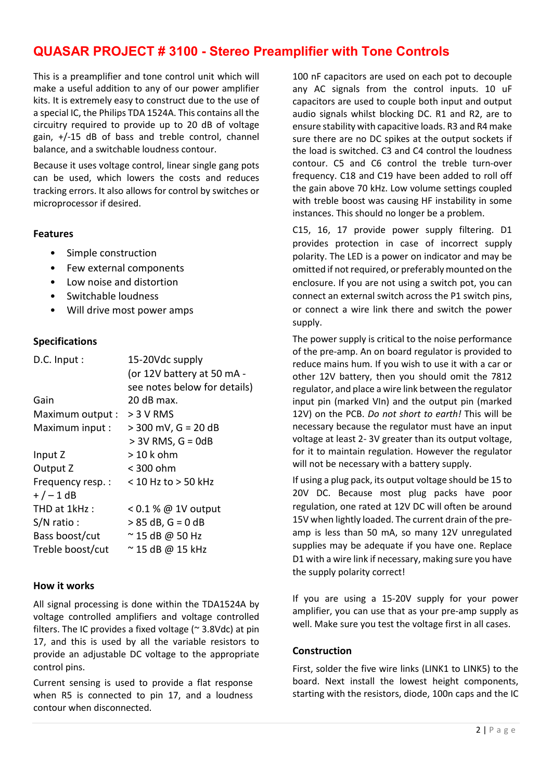This is a preamplifier and tone control unit which will make a useful addition to any of our power amplifier kits. It is extremely easy to construct due to the use of a special IC, the Philips TDA 1524A. This contains all the circuitry required to provide up to 20 dB of voltage gain, +/-15 dB of bass and treble control, channel balance, and a switchable loudness contour.

Because it uses voltage control, linear single gang pots can be used, which lowers the costs and reduces tracking errors. It also allows for control by switches or microprocessor if desired.

#### **Features**

- Simple construction
- Few external components
- Low noise and distortion
- Switchable loudness
- Will drive most power amps

#### **Specifications**

| D.C. Input:      | 15-20Vdc supply              |
|------------------|------------------------------|
|                  | (or 12V battery at 50 mA -   |
|                  | see notes below for details) |
| Gain             | 20 dB max.                   |
| Maximum output : | $> 3 V$ RMS                  |
| Maximum input :  | $> 300$ mV, G = 20 dB        |
|                  | $> 3V$ RMS, G = 0dB          |
| Input Z          | > 10 k ohm                   |
| Output Z         | < 300 ohm                    |
| Frequency resp.: | < 10 Hz to > 50 kHz          |
| $+/-1$ dB        |                              |
| THD at 1kHz :    | $0.1\%$ @ 1V output          |
| $S/N$ ratio :    | $> 85$ dB, G = 0 dB          |
| Bass boost/cut   | $\approx$ 15 dB @ 50 Hz      |
| Treble boost/cut | $\approx$ 15 dB @ 15 kHz     |
|                  |                              |

#### **How it works**

All signal processing is done within the TDA1524A by voltage controlled amplifiers and voltage controlled filters. The IC provides a fixed voltage ( $\approx$  3.8Vdc) at pin 17, and this is used by all the variable resistors to provide an adjustable DC voltage to the appropriate control pins.

Current sensing is used to provide a flat response when R5 is connected to pin 17, and a loudness contour when disconnected.

100 nF capacitors are used on each pot to decouple any AC signals from the control inputs. 10 uF capacitors are used to couple both input and output audio signals whilst blocking DC. R1 and R2, are to ensure stability with capacitive loads. R3 and R4 make sure there are no DC spikes at the output sockets if the load is switched. C3 and C4 control the loudness contour. C5 and C6 control the treble turn-over frequency. C18 and C19 have been added to roll off the gain above 70 kHz. Low volume settings coupled with treble boost was causing HF instability in some instances. This should no longer be a problem.

C15, 16, 17 provide power supply filtering. D1 provides protection in case of incorrect supply polarity. The LED is a power on indicator and may be omitted if not required, or preferably mounted on the enclosure. If you are not using a switch pot, you can connect an external switch across the P1 switch pins, or connect a wire link there and switch the power supply.

The power supply is critical to the noise performance of the pre-amp. An on board regulator is provided to reduce mains hum. If you wish to use it with a car or other 12V battery, then you should omit the 7812 regulator, and place a wire link between the regulator input pin (marked VIn) and the output pin (marked 12V) on the PCB. *Do not short to earth!* This will be necessary because the regulator must have an input voltage at least 2- 3V greater than its output voltage, for it to maintain regulation. However the regulator will not be necessary with a battery supply.

If using a plug pack, its output voltage should be 15 to 20V DC. Because most plug packs have poor regulation, one rated at 12V DC will often be around 15V when lightly loaded. The current drain of the preamp is less than 50 mA, so many 12V unregulated supplies may be adequate if you have one. Replace D1 with a wire link if necessary, making sure you have the supply polarity correct!

If you are using a 15-20V supply for your power amplifier, you can use that as your pre-amp supply as well. Make sure you test the voltage first in all cases.

#### **Construction**

First, solder the five wire links (LINK1 to LINK5) to the board. Next install the lowest height components, starting with the resistors, diode, 100n caps and the IC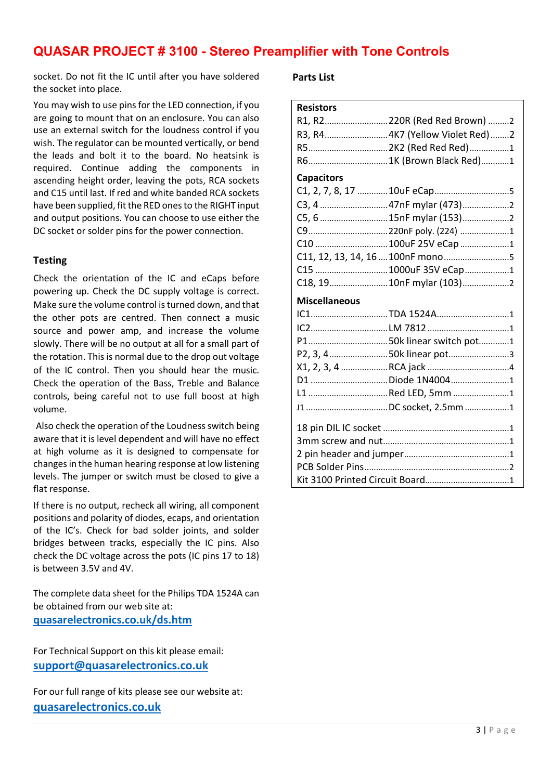socket. Do not fit the IC until after you have soldered the socket into place.

You may wish to use pins for the LED connection, if you are going to mount that on an enclosure. You can also use an external switch for the loudness control if you wish. The regulator can be mounted vertically, or bend the leads and bolt it to the board. No heatsink is required. Continue adding the components in ascending height order, leaving the pots, RCA sockets and C15 until last. If red and white banded RCA sockets have been supplied, fit the RED ones to the RIGHT input and output positions. You can choose to use either the DC socket or solder pins for the power connection.

## **Testing**

Check the orientation of the IC and eCaps before powering up. Check the DC supply voltage is correct. Make sure the volume control is turned down, and that the other pots are centred. Then connect a music source and power amp, and increase the volume slowly. There will be no output at all for a small part of the rotation. This is normal due to the drop out voltage of the IC control. Then you should hear the music. Check the operation of the Bass, Treble and Balance controls, being careful not to use full boost at high volume.

Also check the operation of the Loudness switch being aware that it is level dependent and will have no effect at high volume as it is designed to compensate for changes in the human hearing response at low listening levels. The jumper or switch must be closed to give a flat response.

If there is no output, recheck all wiring, all component positions and polarity of diodes, ecaps, and orientation of the IC's. Check for bad solder joints, and solder bridges between tracks, especially the IC pins. Also check the DC voltage across the pots (IC pins 17 to 18) is between 3.5V and 4V.

The complete data sheet for the Philips TDA 1524A can be obtained from our web site at: **quasarelectronics.co.uk/ds.htm**

For Technical Support on this kit please email: **support@quasarelectronics.co.uk**

For our full range of kits please see our website at: **quasarelectronics.co.uk**

## **Parts List**

| <b>Resistors</b>     |                                   |
|----------------------|-----------------------------------|
|                      | R1, R2220R (Red Red Brown) 2      |
|                      | R3, R4 4K7 (Yellow Violet Red)2   |
|                      |                                   |
|                      | R6 1K (Brown Black Red)1          |
| <b>Capacitors</b>    |                                   |
|                      |                                   |
|                      |                                   |
|                      | C5, 6  15nF mylar (153) 2         |
|                      |                                   |
|                      | C10  100uF 25V eCap 1             |
|                      | C11, 12, 13, 14, 16  100nF mono 5 |
|                      | C15  1000uF 35V eCap 1            |
|                      | C18, 19 10nF mylar (103)          |
|                      |                                   |
| <b>Miscellaneous</b> |                                   |
|                      | IC1TDA 1524A1                     |
|                      |                                   |
|                      |                                   |
|                      | P2, 3, 450k linear pot3           |
|                      |                                   |
|                      | D1 Diode 1N40041                  |
|                      | L1 Red LED, 5mm 1                 |
|                      |                                   |
|                      |                                   |
|                      |                                   |
|                      |                                   |
|                      |                                   |